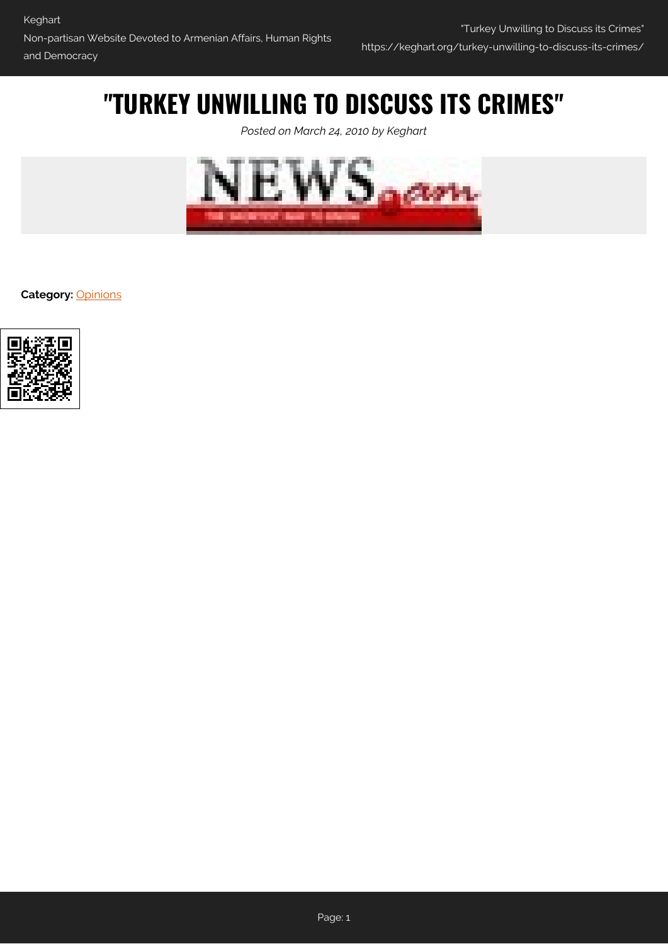## **"TURKEY UNWILLING TO DISCUSS ITS CRIMES"**

*Posted on March 24, 2010 by Keghart*



**Category:** [Opinions](https://keghart.org/category/opinions/)

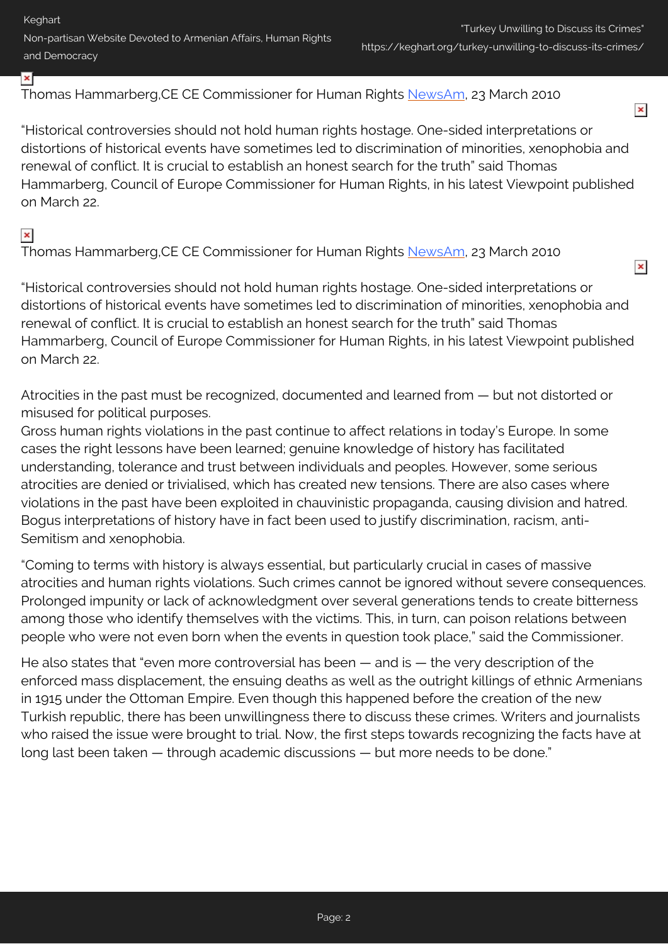Keghart Non-partisan Website Devoted to Armenian Affairs, Human Rights and Democracy

 $\pmb{\times}$ 

 $\pmb{\times}$ 

Thomas Hammarberg,CE CE Commissioner for Human Rights [NewsAm](http://news.am/en/news/17330.html), 23 March 2010

"Historical controversies should not hold human rights hostage. One-sided interpretations or distortions of historical events have sometimes led to discrimination of minorities, xenophobia and renewal of conflict. It is crucial to establish an honest search for the truth" said Thomas Hammarberg, Council of Europe Commissioner for Human Rights, in his latest Viewpoint published on March 22.

## $\pmb{\times}$

×

Thomas Hammarberg,CE CE Commissioner for Human Rights [NewsAm](http://news.am/en/news/17330.html), 23 March 2010

"Historical controversies should not hold human rights hostage. One-sided interpretations or distortions of historical events have sometimes led to discrimination of minorities, xenophobia and renewal of conflict. It is crucial to establish an honest search for the truth" said Thomas Hammarberg, Council of Europe Commissioner for Human Rights, in his latest Viewpoint published on March 22.

Atrocities in the past must be recognized, documented and learned from — but not distorted or misused for political purposes.

Gross human rights violations in the past continue to affect relations in today's Europe. In some cases the right lessons have been learned; genuine knowledge of history has facilitated understanding, tolerance and trust between individuals and peoples. However, some serious atrocities are denied or trivialised, which has created new tensions. There are also cases where violations in the past have been exploited in chauvinistic propaganda, causing division and hatred. Bogus interpretations of history have in fact been used to justify discrimination, racism, anti-Semitism and xenophobia.

"Coming to terms with history is always essential, but particularly crucial in cases of massive atrocities and human rights violations. Such crimes cannot be ignored without severe consequences. Prolonged impunity or lack of acknowledgment over several generations tends to create bitterness among those who identify themselves with the victims. This, in turn, can poison relations between people who were not even born when the events in question took place," said the Commissioner.

He also states that "even more controversial has been — and is — the very description of the enforced mass displacement, the ensuing deaths as well as the outright killings of ethnic Armenians in 1915 under the Ottoman Empire. Even though this happened before the creation of the new Turkish republic, there has been unwillingness there to discuss these crimes. Writers and journalists who raised the issue were brought to trial. Now, the first steps towards recognizing the facts have at long last been taken — through academic discussions — but more needs to be done."